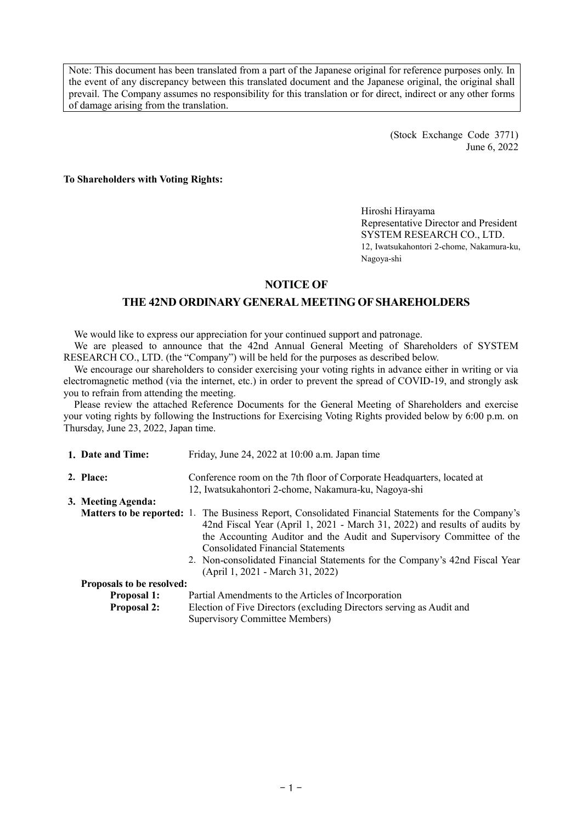Note: This document has been translated from a part of the Japanese original for reference purposes only. In the event of any discrepancy between this translated document and the Japanese original, the original shall prevail. The Company assumes no responsibility for this translation or for direct, indirect or any other forms of damage arising from the translation.

> (Stock Exchange Code 3771) June 6, 2022

**To Shareholders with Voting Rights:**

Hiroshi Hirayama Representative Director and President SYSTEM RESEARCH CO., LTD. 12, Iwatsukahontori 2-chome, Nakamura-ku, Nagoya-shi

## **NOTICE OF**

# **THE 42ND ORDINARY GENERAL MEETING OF SHAREHOLDERS**

We would like to express our appreciation for your continued support and patronage.

We are pleased to announce that the 42nd Annual General Meeting of Shareholders of SYSTEM RESEARCH CO., LTD. (the "Company") will be held for the purposes as described below.

We encourage our shareholders to consider exercising your voting rights in advance either in writing or via electromagnetic method (via the internet, etc.) in order to prevent the spread of COVID-19, and strongly ask you to refrain from attending the meeting.

Please review the attached Reference Documents for the General Meeting of Shareholders and exercise your voting rights by following the Instructions for Exercising Voting Rights provided below by 6:00 p.m. on Thursday, June 23, 2022, Japan time.

| 1. Date and Time:         | Friday, June 24, 2022 at 10:00 a.m. Japan time                                                                                                                                                                                                                                                                                                                                                                                   |
|---------------------------|----------------------------------------------------------------------------------------------------------------------------------------------------------------------------------------------------------------------------------------------------------------------------------------------------------------------------------------------------------------------------------------------------------------------------------|
| 2. Place:                 | Conference room on the 7th floor of Corporate Headquarters, located at<br>12, Iwatsukahontori 2-chome, Nakamura-ku, Nagoya-shi                                                                                                                                                                                                                                                                                                   |
| 3. Meeting Agenda:        |                                                                                                                                                                                                                                                                                                                                                                                                                                  |
|                           | <b>Matters to be reported:</b> 1. The Business Report, Consolidated Financial Statements for the Company's<br>42nd Fiscal Year (April 1, 2021 - March 31, 2022) and results of audits by<br>the Accounting Auditor and the Audit and Supervisory Committee of the<br><b>Consolidated Financial Statements</b><br>2. Non-consolidated Financial Statements for the Company's 42nd Fiscal Year<br>(April 1, 2021 - March 31, 2022) |
| Proposals to be resolved: |                                                                                                                                                                                                                                                                                                                                                                                                                                  |
| <b>Proposal 1:</b>        | Partial Amendments to the Articles of Incorporation                                                                                                                                                                                                                                                                                                                                                                              |
| <b>Proposal 2:</b>        | Election of Five Directors (excluding Directors serving as Audit and<br><b>Supervisory Committee Members)</b>                                                                                                                                                                                                                                                                                                                    |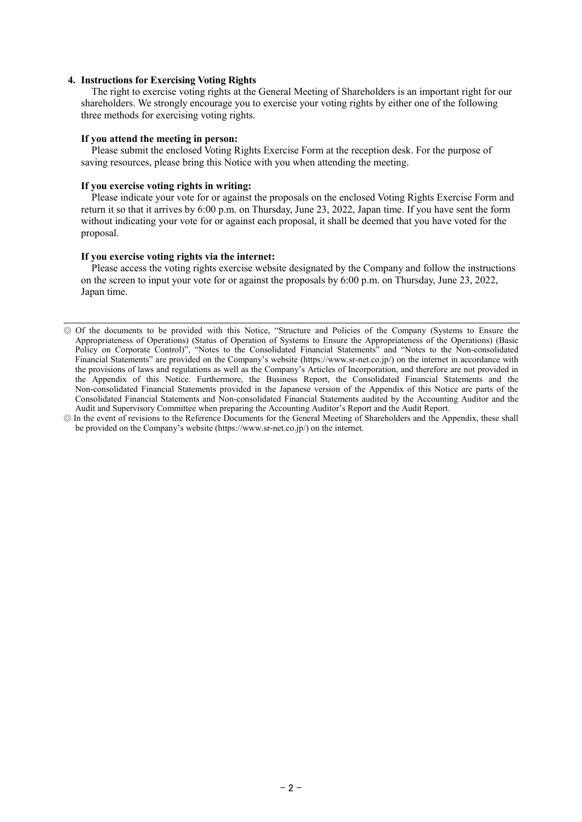### **4. Instructions for Exercising Voting Rights**

The right to exercise voting rights at the General Meeting of Shareholders is an important right for our shareholders. We strongly encourage you to exercise your voting rights by either one of the following three methods for exercising voting rights.

### **If you attend the meeting in person:**

Please submit the enclosed Voting Rights Exercise Form at the reception desk. For the purpose of saving resources, please bring this Notice with you when attending the meeting.

#### **If you exercise voting rights in writing:**

Please indicate your vote for or against the proposals on the enclosed Voting Rights Exercise Form and return it so that it arrives by 6:00 p.m. on Thursday, June 23, 2022, Japan time. If you have sent the form without indicating your vote for or against each proposal, it shall be deemed that you have voted for the proposal.

## **If you exercise voting rights via the internet:**

Please access the voting rights exercise website designated by the Company and follow the instructions on the screen to input your vote for or against the proposals by 6:00 p.m. on Thursday, June 23, 2022, Japan time.

<sup>◎</sup> Of the documents to be provided with this Notice, "Structure and Policies of the Company (Systems to Ensure the Appropriateness of Operations) (Status of Operation of Systems to Ensure the Appropriateness of the Operations) (Basic Policy on Corporate Control)", "Notes to the Consolidated Financial Statements" and "Notes to the Non-consolidated Financial Statements" are provided on the Company's website (https://www.sr-net.co.jp/) on the internet in accordance with the provisions of laws and regulations as well as the Company's Articles of Incorporation, and therefore are not provided in the Appendix of this Notice. Furthermore, the Business Report, the Consolidated Financial Statements and the Non-consolidated Financial Statements provided in the Japanese version of the Appendix of this Notice are parts of the Consolidated Financial Statements and Non-consolidated Financial Statements audited by the Accounting Auditor and the Audit and Supervisory Committee when preparing the Accounting Auditor's Report and the Audit Report.

<sup>◎</sup> In the event of revisions to the Reference Documents for the General Meeting of Shareholders and the Appendix, these shall be provided on the Company's website (https://www.sr-net.co.jp/) on the internet.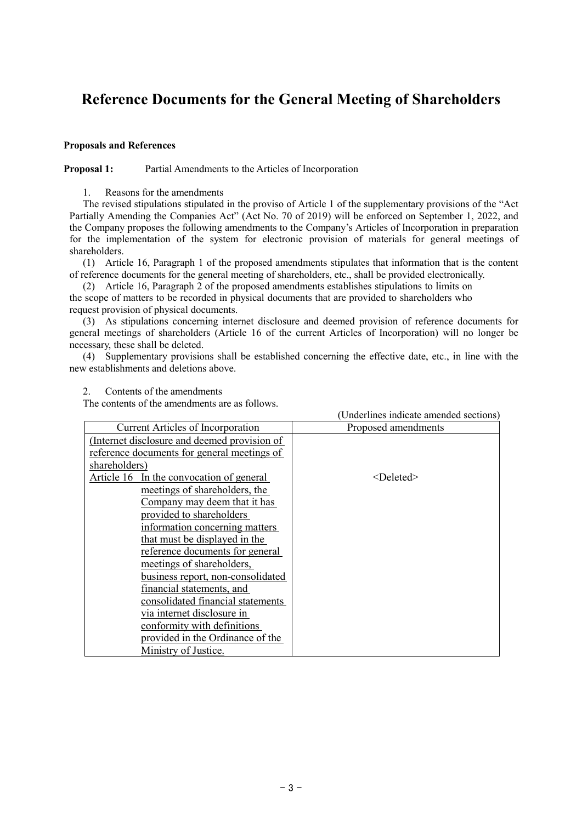# **Reference Documents for the General Meeting of Shareholders**

## **Proposals and References**

### **Proposal 1:** Partial Amendments to the Articles of Incorporation

1. Reasons for the amendments

The revised stipulations stipulated in the proviso of Article 1 of the supplementary provisions of the "Act Partially Amending the Companies Act" (Act No. 70 of 2019) will be enforced on September 1, 2022, and the Company proposes the following amendments to the Company's Articles of Incorporation in preparation for the implementation of the system for electronic provision of materials for general meetings of shareholders.

(1) Article 16, Paragraph 1 of the proposed amendments stipulates that information that is the content of reference documents for the general meeting of shareholders, etc., shall be provided electronically.

(2) Article 16, Paragraph 2 of the proposed amendments establishes stipulations to limits on the scope of matters to be recorded in physical documents that are provided to shareholders who request provision of physical documents.

(3) As stipulations concerning internet disclosure and deemed provision of reference documents for general meetings of shareholders (Article 16 of the current Articles of Incorporation) will no longer be necessary, these shall be deleted.

(4) Supplementary provisions shall be established concerning the effective date, etc., in line with the new establishments and deletions above.

|                                              | (Underlines indicate amended sections) |
|----------------------------------------------|----------------------------------------|
| <b>Current Articles of Incorporation</b>     | Proposed amendments                    |
| (Internet disclosure and deemed provision of |                                        |
| reference documents for general meetings of  |                                        |
| shareholders)                                |                                        |
| Article 16 In the convocation of general     | $<$ Deleted $>$                        |
| meetings of shareholders, the                |                                        |
| Company may deem that it has                 |                                        |
| provided to shareholders                     |                                        |
| information concerning matters               |                                        |
| that must be displayed in the                |                                        |
| reference documents for general              |                                        |
| meetings of shareholders,                    |                                        |
| business report, non-consolidated            |                                        |
| financial statements, and                    |                                        |
| consolidated financial statements            |                                        |
| via internet disclosure in                   |                                        |
| conformity with definitions                  |                                        |
| provided in the Ordinance of the             |                                        |
| <u>Ministry of Justice.</u>                  |                                        |

2. Contents of the amendments

The contents of the amendments are as follows.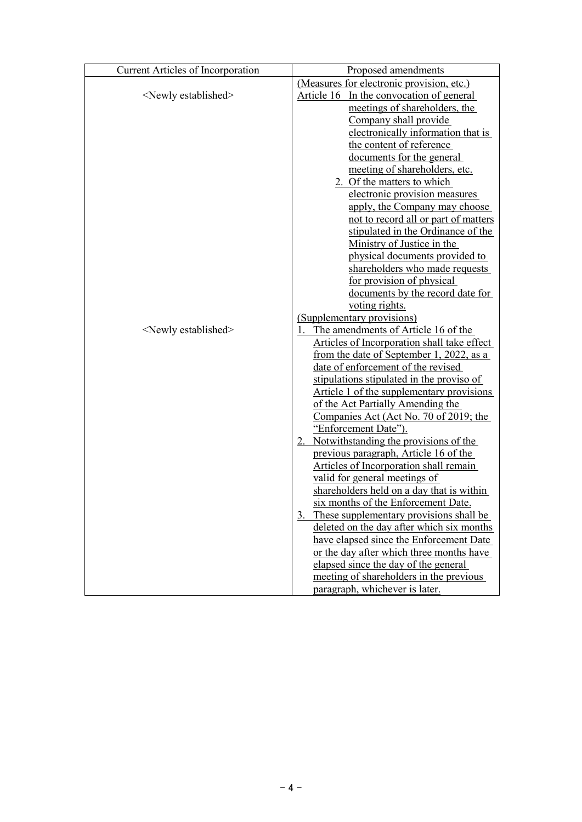| <b>Current Articles of Incorporation</b> | Proposed amendments                             |  |  |  |  |
|------------------------------------------|-------------------------------------------------|--|--|--|--|
|                                          | (Measures for electronic provision, etc.)       |  |  |  |  |
| <newly established=""></newly>           | Article 16 In the convocation of general        |  |  |  |  |
|                                          | meetings of shareholders, the                   |  |  |  |  |
|                                          | Company shall provide                           |  |  |  |  |
|                                          | electronically information that is              |  |  |  |  |
|                                          | the content of reference                        |  |  |  |  |
|                                          | documents for the general                       |  |  |  |  |
|                                          | meeting of shareholders, etc.                   |  |  |  |  |
|                                          | 2. Of the matters to which                      |  |  |  |  |
|                                          | electronic provision measures                   |  |  |  |  |
|                                          | apply, the Company may choose                   |  |  |  |  |
|                                          | not to record all or part of matters            |  |  |  |  |
|                                          | stipulated in the Ordinance of the              |  |  |  |  |
|                                          | Ministry of Justice in the                      |  |  |  |  |
|                                          | physical documents provided to                  |  |  |  |  |
|                                          | shareholders who made requests                  |  |  |  |  |
|                                          | for provision of physical                       |  |  |  |  |
|                                          | documents by the record date for                |  |  |  |  |
|                                          | voting rights.                                  |  |  |  |  |
|                                          | (Supplementary provisions)                      |  |  |  |  |
| <newly established=""></newly>           | The amendments of Article 16 of the             |  |  |  |  |
|                                          | Articles of Incorporation shall take effect     |  |  |  |  |
|                                          | <u>from the date of September 1, 2022, as a</u> |  |  |  |  |
|                                          | date of enforcement of the revised              |  |  |  |  |
|                                          | stipulations stipulated in the proviso of       |  |  |  |  |
|                                          | Article 1 of the supplementary provisions       |  |  |  |  |
|                                          | of the Act Partially Amending the               |  |  |  |  |
|                                          | Companies Act (Act No. 70 of 2019; the          |  |  |  |  |
|                                          | "Enforcement Date").                            |  |  |  |  |
|                                          | 2. Notwithstanding the provisions of the        |  |  |  |  |
|                                          | previous paragraph, Article 16 of the           |  |  |  |  |
|                                          | Articles of Incorporation shall remain          |  |  |  |  |
|                                          | valid for general meetings of                   |  |  |  |  |
|                                          | shareholders held on a day that is within       |  |  |  |  |
|                                          | six months of the Enforcement Date.             |  |  |  |  |
|                                          | 3. These supplementary provisions shall be      |  |  |  |  |
|                                          | deleted on the day after which six months       |  |  |  |  |
|                                          | have elapsed since the Enforcement Date         |  |  |  |  |
|                                          | or the day after which three months have        |  |  |  |  |
|                                          | elapsed since the day of the general            |  |  |  |  |
|                                          | meeting of shareholders in the previous         |  |  |  |  |
|                                          | paragraph, whichever is later.                  |  |  |  |  |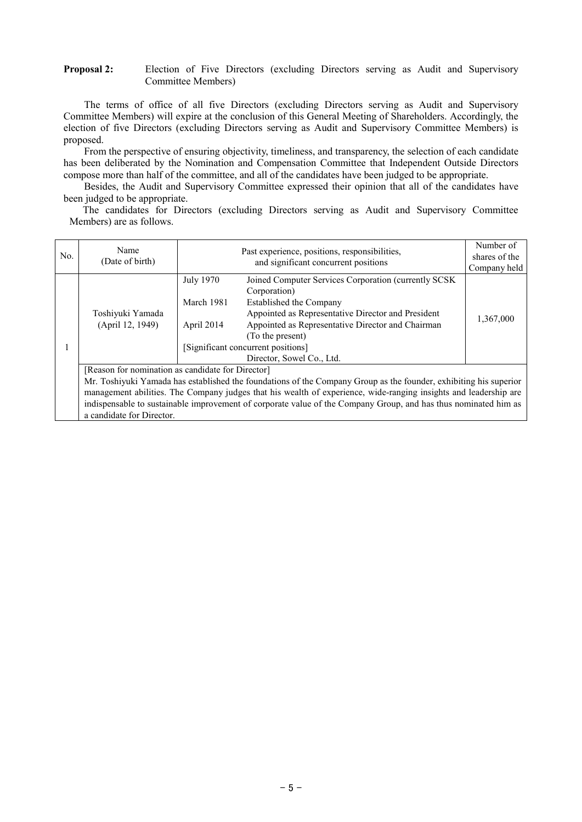### **Proposal 2:** Election of Five Directors (excluding Directors serving as Audit and Supervisory Committee Members)

The terms of office of all five Directors (excluding Directors serving as Audit and Supervisory Committee Members) will expire at the conclusion of this General Meeting of Shareholders. Accordingly, the election of five Directors (excluding Directors serving as Audit and Supervisory Committee Members) is proposed.

From the perspective of ensuring objectivity, timeliness, and transparency, the selection of each candidate has been deliberated by the Nomination and Compensation Committee that Independent Outside Directors compose more than half of the committee, and all of the candidates have been judged to be appropriate.

Besides, the Audit and Supervisory Committee expressed their opinion that all of the candidates have been judged to be appropriate.

The candidates for Directors (excluding Directors serving as Audit and Supervisory Committee Members) are as follows.

| No. | Name<br>(Date of birth)                                                                                                                                                                                                                                                                                                                                                                                                                    |                                              | Number of<br>shares of the<br>Company held                                                                                                                                                                                                                                                        |           |  |  |
|-----|--------------------------------------------------------------------------------------------------------------------------------------------------------------------------------------------------------------------------------------------------------------------------------------------------------------------------------------------------------------------------------------------------------------------------------------------|----------------------------------------------|---------------------------------------------------------------------------------------------------------------------------------------------------------------------------------------------------------------------------------------------------------------------------------------------------|-----------|--|--|
|     | Toshiyuki Yamada<br>(April 12, 1949)                                                                                                                                                                                                                                                                                                                                                                                                       | <b>July 1970</b><br>March 1981<br>April 2014 | Joined Computer Services Corporation (currently SCSK<br>Corporation)<br>Established the Company<br>Appointed as Representative Director and President<br>Appointed as Representative Director and Chairman<br>(To the present)<br>[Significant concurrent positions]<br>Director, Sowel Co., Ltd. | 1,367,000 |  |  |
|     | [Reason for nomination as candidate for Director]<br>Mr. Toshiyuki Yamada has established the foundations of the Company Group as the founder, exhibiting his superior<br>management abilities. The Company judges that his wealth of experience, wide-ranging insights and leadership are<br>indispensable to sustainable improvement of corporate value of the Company Group, and has thus nominated him as<br>a candidate for Director. |                                              |                                                                                                                                                                                                                                                                                                   |           |  |  |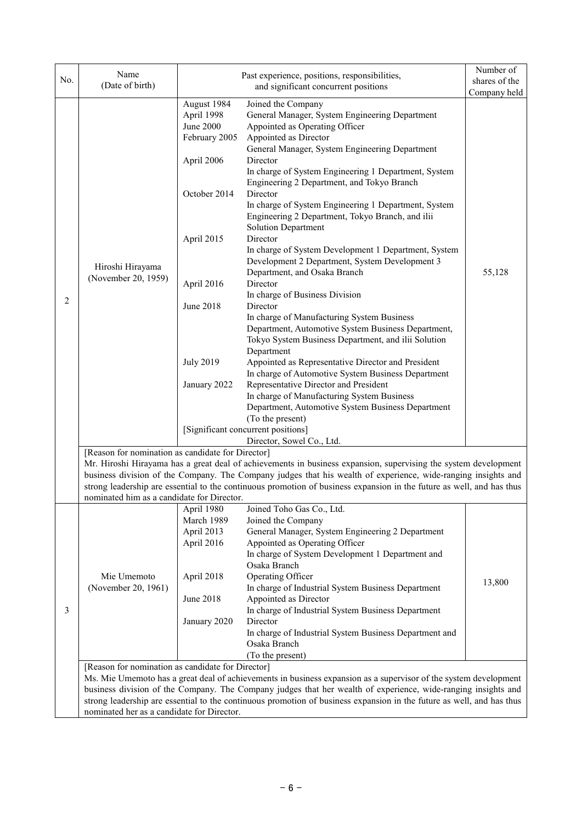| No.                                                                                                                                                                                                                                                                                                                                                                                                                                                          | Name                                                                                                                                                                                                                                   | Past experience, positions, responsibilities,                                                                                                                                                                          | Number of                                                                                                                                                                                                                                                                                                                                                                                                                                                                                                                                                                                                                                                                                                                                                                                                                                                                                  |                                         |  |  |  |
|--------------------------------------------------------------------------------------------------------------------------------------------------------------------------------------------------------------------------------------------------------------------------------------------------------------------------------------------------------------------------------------------------------------------------------------------------------------|----------------------------------------------------------------------------------------------------------------------------------------------------------------------------------------------------------------------------------------|------------------------------------------------------------------------------------------------------------------------------------------------------------------------------------------------------------------------|--------------------------------------------------------------------------------------------------------------------------------------------------------------------------------------------------------------------------------------------------------------------------------------------------------------------------------------------------------------------------------------------------------------------------------------------------------------------------------------------------------------------------------------------------------------------------------------------------------------------------------------------------------------------------------------------------------------------------------------------------------------------------------------------------------------------------------------------------------------------------------------------|-----------------------------------------|--|--|--|
|                                                                                                                                                                                                                                                                                                                                                                                                                                                              |                                                                                                                                                                                                                                        |                                                                                                                                                                                                                        |                                                                                                                                                                                                                                                                                                                                                                                                                                                                                                                                                                                                                                                                                                                                                                                                                                                                                            |                                         |  |  |  |
| 2                                                                                                                                                                                                                                                                                                                                                                                                                                                            | (Date of birth)<br>Hiroshi Hirayama<br>(November 20, 1959)                                                                                                                                                                             | August 1984<br>April 1998<br><b>June 2000</b><br>February 2005<br>April 2006<br>October 2014<br>April 2015<br>April 2016<br>June 2018                                                                                  | and significant concurrent positions<br>Joined the Company<br>General Manager, System Engineering Department<br>Appointed as Operating Officer<br>Appointed as Director<br>General Manager, System Engineering Department<br>Director<br>In charge of System Engineering 1 Department, System<br>Engineering 2 Department, and Tokyo Branch<br>Director<br>In charge of System Engineering 1 Department, System<br>Engineering 2 Department, Tokyo Branch, and ilii<br><b>Solution Department</b><br>Director<br>In charge of System Development 1 Department, System<br>Development 2 Department, System Development 3<br>Department, and Osaka Branch<br>Director<br>In charge of Business Division<br>Director<br>In charge of Manufacturing System Business<br>Department, Automotive System Business Department,<br>Tokyo System Business Department, and ilii Solution<br>Department | shares of the<br>Company held<br>55,128 |  |  |  |
|                                                                                                                                                                                                                                                                                                                                                                                                                                                              |                                                                                                                                                                                                                                        | <b>July 2019</b><br>January 2022                                                                                                                                                                                       | Appointed as Representative Director and President<br>In charge of Automotive System Business Department<br>Representative Director and President<br>In charge of Manufacturing System Business<br>Department, Automotive System Business Department<br>(To the present)<br>[Significant concurrent positions]                                                                                                                                                                                                                                                                                                                                                                                                                                                                                                                                                                             |                                         |  |  |  |
|                                                                                                                                                                                                                                                                                                                                                                                                                                                              |                                                                                                                                                                                                                                        |                                                                                                                                                                                                                        | Director, Sowel Co., Ltd.                                                                                                                                                                                                                                                                                                                                                                                                                                                                                                                                                                                                                                                                                                                                                                                                                                                                  |                                         |  |  |  |
| [Reason for nomination as candidate for Director]<br>Mr. Hiroshi Hirayama has a great deal of achievements in business expansion, supervising the system development<br>business division of the Company. The Company judges that his wealth of experience, wide-ranging insights and<br>strong leadership are essential to the continuous promotion of business expansion in the future as well, and has thus<br>nominated him as a candidate for Director. |                                                                                                                                                                                                                                        |                                                                                                                                                                                                                        |                                                                                                                                                                                                                                                                                                                                                                                                                                                                                                                                                                                                                                                                                                                                                                                                                                                                                            |                                         |  |  |  |
|                                                                                                                                                                                                                                                                                                                                                                                                                                                              |                                                                                                                                                                                                                                        | April 1980                                                                                                                                                                                                             | Joined Toho Gas Co., Ltd.                                                                                                                                                                                                                                                                                                                                                                                                                                                                                                                                                                                                                                                                                                                                                                                                                                                                  |                                         |  |  |  |
|                                                                                                                                                                                                                                                                                                                                                                                                                                                              | Mie Umemoto<br>(November 20, 1961)                                                                                                                                                                                                     | March 1989<br>Joined the Company<br>April 2013<br>General Manager, System Engineering 2 Department<br>Appointed as Operating Officer<br>April 2016<br>In charge of System Development 1 Department and<br>Osaka Branch |                                                                                                                                                                                                                                                                                                                                                                                                                                                                                                                                                                                                                                                                                                                                                                                                                                                                                            |                                         |  |  |  |
|                                                                                                                                                                                                                                                                                                                                                                                                                                                              |                                                                                                                                                                                                                                        | April 2018                                                                                                                                                                                                             | Operating Officer<br>In charge of Industrial System Business Department                                                                                                                                                                                                                                                                                                                                                                                                                                                                                                                                                                                                                                                                                                                                                                                                                    | 13,800                                  |  |  |  |
| 3                                                                                                                                                                                                                                                                                                                                                                                                                                                            |                                                                                                                                                                                                                                        | June 2018<br>January 2020                                                                                                                                                                                              | Appointed as Director<br>In charge of Industrial System Business Department<br>Director                                                                                                                                                                                                                                                                                                                                                                                                                                                                                                                                                                                                                                                                                                                                                                                                    |                                         |  |  |  |
|                                                                                                                                                                                                                                                                                                                                                                                                                                                              |                                                                                                                                                                                                                                        |                                                                                                                                                                                                                        | In charge of Industrial System Business Department and<br>Osaka Branch<br>(To the present)                                                                                                                                                                                                                                                                                                                                                                                                                                                                                                                                                                                                                                                                                                                                                                                                 |                                         |  |  |  |
|                                                                                                                                                                                                                                                                                                                                                                                                                                                              | [Reason for nomination as candidate for Director]                                                                                                                                                                                      |                                                                                                                                                                                                                        |                                                                                                                                                                                                                                                                                                                                                                                                                                                                                                                                                                                                                                                                                                                                                                                                                                                                                            |                                         |  |  |  |
|                                                                                                                                                                                                                                                                                                                                                                                                                                                              | Ms. Mie Umemoto has a great deal of achievements in business expansion as a supervisor of the system development                                                                                                                       |                                                                                                                                                                                                                        |                                                                                                                                                                                                                                                                                                                                                                                                                                                                                                                                                                                                                                                                                                                                                                                                                                                                                            |                                         |  |  |  |
|                                                                                                                                                                                                                                                                                                                                                                                                                                                              | business division of the Company. The Company judges that her wealth of experience, wide-ranging insights and<br>strong leadership are essential to the continuous promotion of business expansion in the future as well, and has thus |                                                                                                                                                                                                                        |                                                                                                                                                                                                                                                                                                                                                                                                                                                                                                                                                                                                                                                                                                                                                                                                                                                                                            |                                         |  |  |  |
|                                                                                                                                                                                                                                                                                                                                                                                                                                                              | nominated her as a candidate for Director.                                                                                                                                                                                             |                                                                                                                                                                                                                        |                                                                                                                                                                                                                                                                                                                                                                                                                                                                                                                                                                                                                                                                                                                                                                                                                                                                                            |                                         |  |  |  |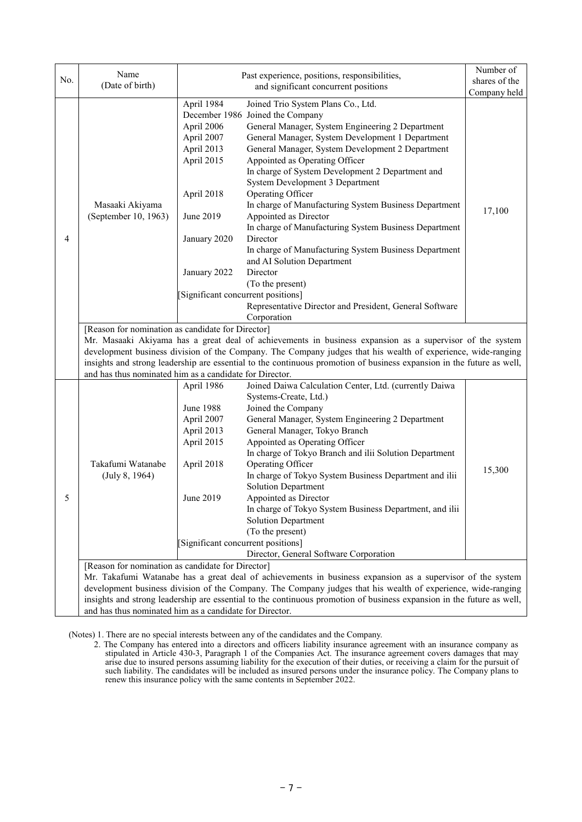| No. | Name<br>(Date of birth)                                                                                                                                                                                                                                                                                                                                                                                                                                           | Past experience, positions, responsibilities,                                                                                 | Number of<br>shares of the                                                                                                                                                                                                                                                                                                                                                                                                                                                                                                                                                                                                                                     |              |  |  |  |
|-----|-------------------------------------------------------------------------------------------------------------------------------------------------------------------------------------------------------------------------------------------------------------------------------------------------------------------------------------------------------------------------------------------------------------------------------------------------------------------|-------------------------------------------------------------------------------------------------------------------------------|----------------------------------------------------------------------------------------------------------------------------------------------------------------------------------------------------------------------------------------------------------------------------------------------------------------------------------------------------------------------------------------------------------------------------------------------------------------------------------------------------------------------------------------------------------------------------------------------------------------------------------------------------------------|--------------|--|--|--|
|     |                                                                                                                                                                                                                                                                                                                                                                                                                                                                   |                                                                                                                               | and significant concurrent positions                                                                                                                                                                                                                                                                                                                                                                                                                                                                                                                                                                                                                           | Company held |  |  |  |
| 4   | Masaaki Akiyama<br>(September 10, 1963)                                                                                                                                                                                                                                                                                                                                                                                                                           | April 1984<br>April 2006<br>April 2007<br>April 2013<br>April 2015<br>April 2018<br>June 2019<br>January 2020<br>January 2022 | Joined Trio System Plans Co., Ltd.<br>December 1986 Joined the Company<br>General Manager, System Engineering 2 Department<br>General Manager, System Development 1 Department<br>General Manager, System Development 2 Department<br>Appointed as Operating Officer<br>In charge of System Development 2 Department and<br>System Development 3 Department<br>Operating Officer<br>In charge of Manufacturing System Business Department<br>Appointed as Director<br>In charge of Manufacturing System Business Department<br>Director<br>In charge of Manufacturing System Business Department<br>and AI Solution Department<br>Director<br>(To the present) | 17,100       |  |  |  |
|     |                                                                                                                                                                                                                                                                                                                                                                                                                                                                   | [Significant concurrent positions]                                                                                            |                                                                                                                                                                                                                                                                                                                                                                                                                                                                                                                                                                                                                                                                |              |  |  |  |
|     |                                                                                                                                                                                                                                                                                                                                                                                                                                                                   |                                                                                                                               | Representative Director and President, General Software                                                                                                                                                                                                                                                                                                                                                                                                                                                                                                                                                                                                        |              |  |  |  |
|     |                                                                                                                                                                                                                                                                                                                                                                                                                                                                   |                                                                                                                               | Corporation                                                                                                                                                                                                                                                                                                                                                                                                                                                                                                                                                                                                                                                    |              |  |  |  |
|     | [Reason for nomination as candidate for Director]<br>Mr. Masaaki Akiyama has a great deal of achievements in business expansion as a supervisor of the system<br>development business division of the Company. The Company judges that his wealth of experience, wide-ranging<br>insights and strong leadership are essential to the continuous promotion of business expansion in the future as well,<br>and has thus nominated him as a candidate for Director. |                                                                                                                               |                                                                                                                                                                                                                                                                                                                                                                                                                                                                                                                                                                                                                                                                |              |  |  |  |
|     |                                                                                                                                                                                                                                                                                                                                                                                                                                                                   | April 1986                                                                                                                    | Joined Daiwa Calculation Center, Ltd. (currently Daiwa                                                                                                                                                                                                                                                                                                                                                                                                                                                                                                                                                                                                         |              |  |  |  |
|     | Takafumi Watanabe<br>(July 8, 1964)                                                                                                                                                                                                                                                                                                                                                                                                                               |                                                                                                                               | Systems-Create, Ltd.)                                                                                                                                                                                                                                                                                                                                                                                                                                                                                                                                                                                                                                          |              |  |  |  |
|     |                                                                                                                                                                                                                                                                                                                                                                                                                                                                   | <b>June 1988</b>                                                                                                              | Joined the Company                                                                                                                                                                                                                                                                                                                                                                                                                                                                                                                                                                                                                                             |              |  |  |  |
|     |                                                                                                                                                                                                                                                                                                                                                                                                                                                                   | April 2007                                                                                                                    | General Manager, System Engineering 2 Department                                                                                                                                                                                                                                                                                                                                                                                                                                                                                                                                                                                                               |              |  |  |  |
|     |                                                                                                                                                                                                                                                                                                                                                                                                                                                                   | April 2013                                                                                                                    | General Manager, Tokyo Branch                                                                                                                                                                                                                                                                                                                                                                                                                                                                                                                                                                                                                                  |              |  |  |  |
|     |                                                                                                                                                                                                                                                                                                                                                                                                                                                                   | April 2015                                                                                                                    | Appointed as Operating Officer                                                                                                                                                                                                                                                                                                                                                                                                                                                                                                                                                                                                                                 |              |  |  |  |
|     |                                                                                                                                                                                                                                                                                                                                                                                                                                                                   | April 2018                                                                                                                    | In charge of Tokyo Branch and ilii Solution Department<br>Operating Officer                                                                                                                                                                                                                                                                                                                                                                                                                                                                                                                                                                                    |              |  |  |  |
|     |                                                                                                                                                                                                                                                                                                                                                                                                                                                                   |                                                                                                                               | In charge of Tokyo System Business Department and ilii                                                                                                                                                                                                                                                                                                                                                                                                                                                                                                                                                                                                         | 15,300       |  |  |  |
|     |                                                                                                                                                                                                                                                                                                                                                                                                                                                                   |                                                                                                                               | <b>Solution Department</b>                                                                                                                                                                                                                                                                                                                                                                                                                                                                                                                                                                                                                                     |              |  |  |  |
| 5.  |                                                                                                                                                                                                                                                                                                                                                                                                                                                                   | June 2019                                                                                                                     | Appointed as Director                                                                                                                                                                                                                                                                                                                                                                                                                                                                                                                                                                                                                                          |              |  |  |  |
|     |                                                                                                                                                                                                                                                                                                                                                                                                                                                                   |                                                                                                                               | In charge of Tokyo System Business Department, and ilii                                                                                                                                                                                                                                                                                                                                                                                                                                                                                                                                                                                                        |              |  |  |  |
|     |                                                                                                                                                                                                                                                                                                                                                                                                                                                                   |                                                                                                                               | <b>Solution Department</b>                                                                                                                                                                                                                                                                                                                                                                                                                                                                                                                                                                                                                                     |              |  |  |  |
|     |                                                                                                                                                                                                                                                                                                                                                                                                                                                                   |                                                                                                                               | (To the present)                                                                                                                                                                                                                                                                                                                                                                                                                                                                                                                                                                                                                                               |              |  |  |  |
|     |                                                                                                                                                                                                                                                                                                                                                                                                                                                                   | [Significant concurrent positions]                                                                                            |                                                                                                                                                                                                                                                                                                                                                                                                                                                                                                                                                                                                                                                                |              |  |  |  |
|     | Director, General Software Corporation<br>[Reason for nomination as candidate for Director]                                                                                                                                                                                                                                                                                                                                                                       |                                                                                                                               |                                                                                                                                                                                                                                                                                                                                                                                                                                                                                                                                                                                                                                                                |              |  |  |  |
|     | Mr. Takafumi Watanabe has a great deal of achievements in business expansion as a supervisor of the system                                                                                                                                                                                                                                                                                                                                                        |                                                                                                                               |                                                                                                                                                                                                                                                                                                                                                                                                                                                                                                                                                                                                                                                                |              |  |  |  |
|     | development business division of the Company. The Company judges that his wealth of experience, wide-ranging                                                                                                                                                                                                                                                                                                                                                      |                                                                                                                               |                                                                                                                                                                                                                                                                                                                                                                                                                                                                                                                                                                                                                                                                |              |  |  |  |
|     | insights and strong leadership are essential to the continuous promotion of business expansion in the future as well,                                                                                                                                                                                                                                                                                                                                             |                                                                                                                               |                                                                                                                                                                                                                                                                                                                                                                                                                                                                                                                                                                                                                                                                |              |  |  |  |
|     | and has thus nominated him as a candidate for Director.                                                                                                                                                                                                                                                                                                                                                                                                           |                                                                                                                               |                                                                                                                                                                                                                                                                                                                                                                                                                                                                                                                                                                                                                                                                |              |  |  |  |

(Notes) 1. There are no special interests between any of the candidates and the Company.

2. The Company has entered into a directors and officers liability insurance agreement with an insurance company as stipulated in Article 430-3, Paragraph 1 of the Companies Act. The insurance agreement covers damages that may arise due to insured persons assuming liability for the execution of their duties, or receiving a claim for the pursuit of such liability. The candidates will be included as insured persons under the insurance policy. The Company plans to renew this insurance policy with the same contents in September 2022.